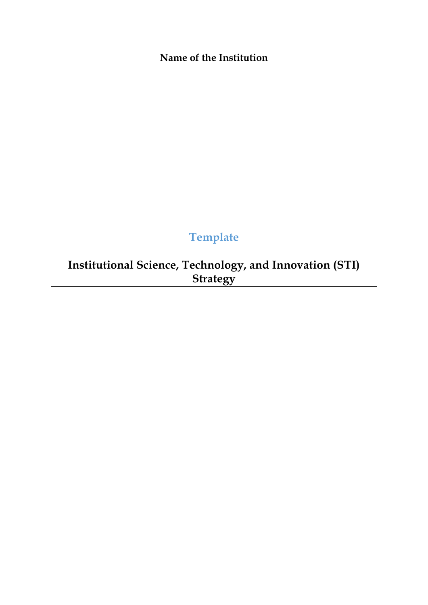**Name of the Institution**

# **Template**

**Institutional Science, Technology, and Innovation (STI) Strategy**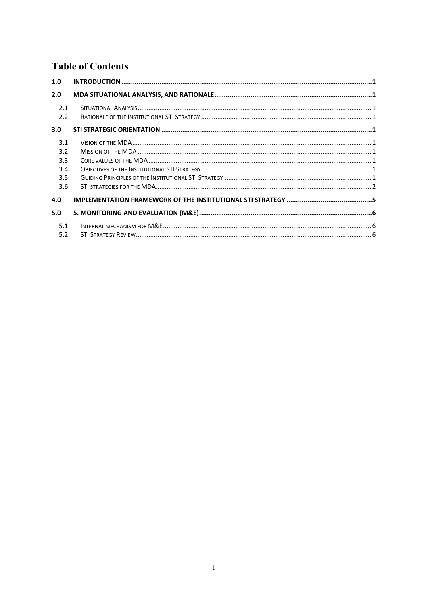## **Table of Contents**

| 1.0        |  |
|------------|--|
| 2.0        |  |
| 2.1<br>2.2 |  |
| 3.0        |  |
| 3.1        |  |
| 3.2        |  |
| 3.3        |  |
| 3.4        |  |
| 3.5        |  |
| 3.6        |  |
| 4.0        |  |
| 5.0        |  |
| 5.1        |  |
| 5.2        |  |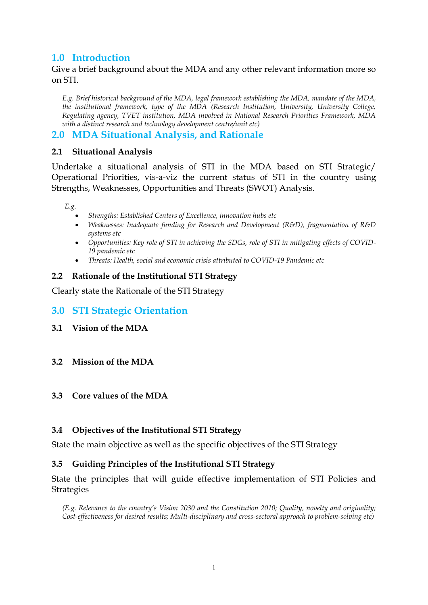## <span id="page-2-0"></span>**1.0 Introduction**

Give a brief background about the MDA and any other relevant information more so on STI.

*E.g. Brief historical background of the MDA, legal framework establishing the MDA, mandate of the MDA, the institutional framework, type of the MDA (Research Institution, University, University College, Regulating agency, TVET institution, MDA involved in National Research Priorities Framework, MDA with a distinct research and technology development centre/unit etc)*

#### <span id="page-2-1"></span>**2.0 MDA Situational Analysis, and Rationale**

#### <span id="page-2-2"></span>**2.1 Situational Analysis**

Undertake a situational analysis of STI in the MDA based on STI Strategic/ Operational Priorities, vis-a-viz the current status of STI in the country using Strengths, Weaknesses, Opportunities and Threats (SWOT) Analysis.

*E.g.*

- *Strengths: Established Centers of Excellence, innovation hubs etc*
- *Weaknesses: Inadequate funding for Research and Development (R&D), fragmentation of R&D systems etc*
- *Opportunities: Key role of STI in achieving the SDGs, role of STI in mitigating effects of COVID-19 pandemic etc*
- *Threats: Health, social and economic crisis attributed to COVID-19 Pandemic etc*

#### <span id="page-2-3"></span>**2.2 Rationale of the Institutional STI Strategy**

Clearly state the Rationale of the STI Strategy

- <span id="page-2-4"></span>**3.0 STI Strategic Orientation**
- <span id="page-2-5"></span>**3.1 Vision of the MDA**

#### <span id="page-2-6"></span>**3.2 Mission of the MDA**

#### <span id="page-2-7"></span>**3.3 Core values of the MDA**

#### <span id="page-2-8"></span>**3.4 Objectives of the Institutional STI Strategy**

State the main objective as well as the specific objectives of the STI Strategy

#### <span id="page-2-9"></span>**3.5 Guiding Principles of the Institutional STI Strategy**

State the principles that will guide effective implementation of STI Policies and Strategies

*(E.g. Relevance to the country's Vision 2030 and the Constitution 2010; Quality, novelty and originality; Cost-effectiveness for desired results; Multi-disciplinary and cross-sectoral approach to problem-solving etc)*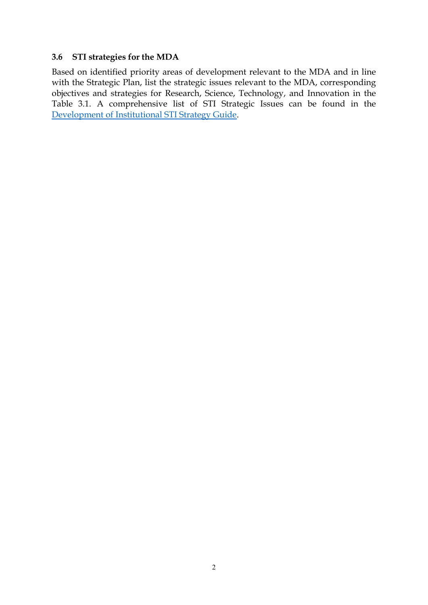#### <span id="page-3-0"></span>**3.6 STI strategies for the MDA**

Based on identified priority areas of development relevant to the MDA and in line with the Strategic Plan, list the strategic issues relevant to the MDA, corresponding objectives and strategies for Research, Science, Technology, and Innovation in the Table 3.1. A comprehensive list of STI Strategic Issues can be found in the [Development of Institutional STI Strategy Guide.](https://www.nacosti.go.ke/science-technology-and-innovation-indicator-inperformance-contracting/)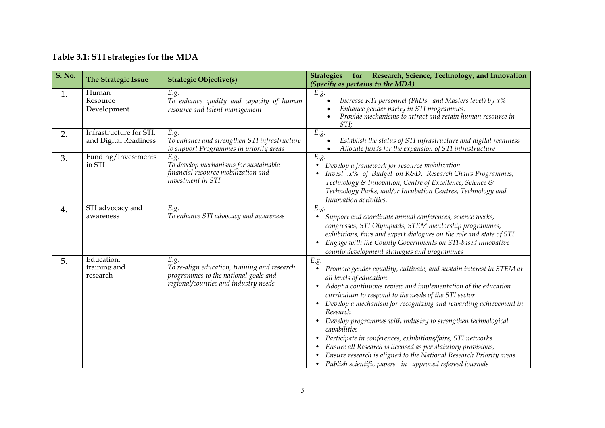| Table 3.1: STI strategies for the MDA |  |  |  |
|---------------------------------------|--|--|--|
|---------------------------------------|--|--|--|

| <b>S. No.</b> | <b>The Strategic Issue</b>                       | <b>Strategic Objective(s)</b>                                                                                                        | for Research, Science, Technology, and Innovation<br><b>Strategies</b><br>(Specify as pertains to the MDA)                                                                                                                                                                                                                                                                                                                                                                                                                                                                                                                                                                                                           |
|---------------|--------------------------------------------------|--------------------------------------------------------------------------------------------------------------------------------------|----------------------------------------------------------------------------------------------------------------------------------------------------------------------------------------------------------------------------------------------------------------------------------------------------------------------------------------------------------------------------------------------------------------------------------------------------------------------------------------------------------------------------------------------------------------------------------------------------------------------------------------------------------------------------------------------------------------------|
| 1.            | Human<br>Resource<br>Development                 | E.g.<br>To enhance quality and capacity of human<br>resource and talent management                                                   | E.g.<br>Increase RTI personnel (PhDs and Masters level) by $x\%$<br>Enhance gender parity in STI programmes.<br>Provide mechanisms to attract and retain human resource in<br>STI;                                                                                                                                                                                                                                                                                                                                                                                                                                                                                                                                   |
| 2.            | Infrastructure for STI,<br>and Digital Readiness | E.g.<br>To enhance and strengthen STI infrastructure<br>to support Programmes in priority areas                                      | E.g.<br>Establish the status of STI infrastructure and digital readiness<br>Allocate funds for the expansion of STI infrastructure                                                                                                                                                                                                                                                                                                                                                                                                                                                                                                                                                                                   |
| 3.            | Funding/Investments<br>in STI                    | E.g.<br>To develop mechanisms for sustainable<br>financial resource mobilization and<br>investment in STI                            | E.g.<br>Develop a framework for resource mobilization<br>$\bullet$<br>Invest .x% of Budget on R&D, Research Chairs Programmes,<br>Technology & Innovation, Centre of Excellence, Science &<br>Technology Parks, and/or Incubation Centres, Technology and<br>Innovation activities.                                                                                                                                                                                                                                                                                                                                                                                                                                  |
| 4.            | STI advocacy and<br>awareness                    | E.g.<br>To enhance STI advocacy and awareness                                                                                        | E.g.<br>Support and coordinate annual conferences, science weeks,<br>$\bullet$<br>congresses, STI Olympiads, STEM mentorship programmes,<br>exhibitions, fairs and expert dialogues on the role and state of STI<br>Engage with the County Governments on STI-based innovative<br>$\bullet$<br>county development strategies and programmes                                                                                                                                                                                                                                                                                                                                                                          |
| 5.            | Education,<br>training and<br>research           | E.g.<br>To re-align education, training and research<br>programmes to the national goals and<br>regional/counties and industry needs | E.g.<br>Promote gender equality, cultivate, and sustain interest in STEM at<br>$\bullet$<br>all levels of education.<br>Adopt a continuous review and implementation of the education<br>$\bullet$<br>curriculum to respond to the needs of the STI sector<br>Develop a mechanism for recognizing and rewarding achievement in<br>Research<br>Develop programmes with industry to strengthen technological<br>capabilities<br>Participate in conferences, exhibitions/fairs, STI networks<br>$\bullet$<br>Ensure all Research is licensed as per statutory provisions,<br>Ensure research is aligned to the National Research Priority areas<br>Publish scientific papers in approved refereed journals<br>$\bullet$ |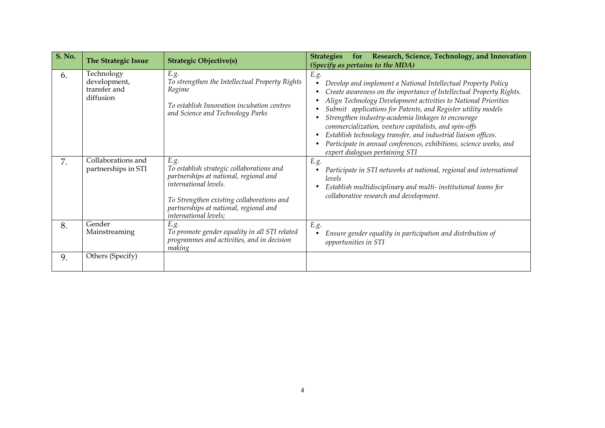| <b>S. No.</b> | <b>The Strategic Issue</b>                              | <b>Strategic Objective(s)</b>                                                                                                                                                                                                        | Research, Science, Technology, and Innovation<br><b>Strategies</b><br>for<br>(Specify as pertains to the MDA)                                                                                                                                                                                                                                                                                                                                                                                                                                                            |
|---------------|---------------------------------------------------------|--------------------------------------------------------------------------------------------------------------------------------------------------------------------------------------------------------------------------------------|--------------------------------------------------------------------------------------------------------------------------------------------------------------------------------------------------------------------------------------------------------------------------------------------------------------------------------------------------------------------------------------------------------------------------------------------------------------------------------------------------------------------------------------------------------------------------|
| 6.            | Technology<br>development,<br>transfer and<br>diffusion | E.g.<br>To strengthen the Intellectual Property Rights<br>Regime<br>To establish Innovation incubation centres<br>and Science and Technology Parks                                                                                   | E.g.<br>Develop and implement a National Intellectual Property Policy<br>Create awareness on the importance of Intellectual Property Rights.<br>Align Technology Development activities to National Priorities<br>Submit applications for Patents, and Register utility models<br>Strengthen industry-academia linkages to encourage<br>commercialization, venture capitalists, and spin-offs<br>Establish technology transfer, and industrial liaison offices.<br>Participate in annual conferences, exhibitions, science weeks, and<br>expert dialogues pertaining STI |
| 7.            | Collaborations and<br>partnerships in STI               | E.g.<br>To establish strategic collaborations and<br>partnerships at national, regional and<br>international levels.<br>To Strengthen existing collaborations and<br>partnerships at national, regional and<br>international levels; | E.g.<br>Participate in STI networks at national, regional and international<br>levels<br>Establish multidisciplinary and multi- institutional teams for<br>collaborative research and development.                                                                                                                                                                                                                                                                                                                                                                       |
| 8.            | Gender<br>Mainstreaming                                 | E.g.<br>To promote gender equality in all STI related<br>programmes and activities, and in decision<br>making                                                                                                                        | E.g.<br>Ensure gender equality in participation and distribution of<br>opportunities in STI                                                                                                                                                                                                                                                                                                                                                                                                                                                                              |
| 9.            | Others (Specify)                                        |                                                                                                                                                                                                                                      |                                                                                                                                                                                                                                                                                                                                                                                                                                                                                                                                                                          |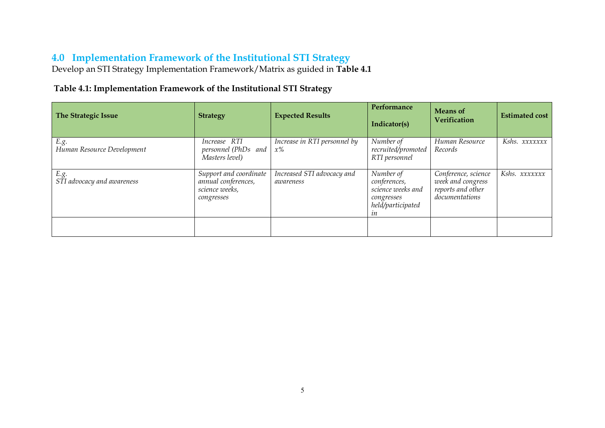## **4.0 Implementation Framework of the Institutional STI Strategy**

Develop an STI Strategy Implementation Framework/Matrix as guided in **Table 4.1**

#### **Table 4.1: Implementation Framework of the Institutional STI Strategy**

<span id="page-6-0"></span>

| <b>The Strategic Issue</b>         | <b>Strategy</b>                                                               | <b>Expected Results</b>                 | Performance<br>Indicator(s)                                                             | <b>Means</b> of<br>Verification                                                 | <b>Estimated cost</b> |
|------------------------------------|-------------------------------------------------------------------------------|-----------------------------------------|-----------------------------------------------------------------------------------------|---------------------------------------------------------------------------------|-----------------------|
| E.g.<br>Human Resource Development | Increase RTI<br>personnel (PhDs and<br>.<br>Masters level)                    | Increase in RTI personnel by<br>$x\%$   | Number of<br>recruited/promoted<br>RTI personnel                                        | Human Resource<br>Records                                                       | Kshs. xxxxxxx         |
| E.g.<br>STI advocacy and awareness | Support and coordinate<br>annual conferences,<br>science weeks,<br>congresses | Increased STI advocacy and<br>awareness | Number of<br>conferences,<br>science weeks and<br>congresses<br>held/participated<br>ın | Conference, science<br>week and congress<br>reports and other<br>documentations | Kshs. xxxxxxx         |
|                                    |                                                                               |                                         |                                                                                         |                                                                                 |                       |